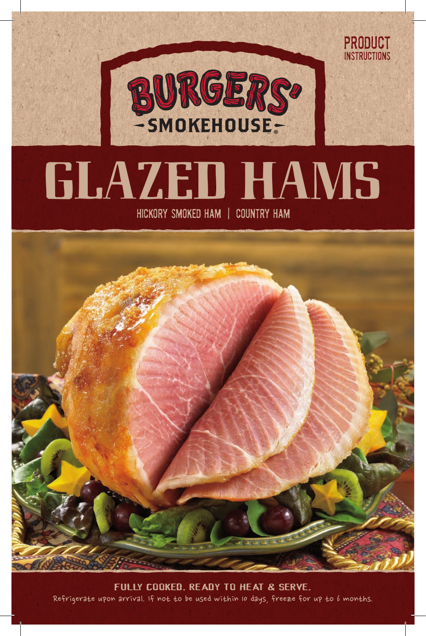

product **INSTRUCTIONS** 

# **GLAZED HAMS**

Hickory Smoked Ham | Country Ham



Refrigerate upon arrival. If not to be used within 10 days, freeze for up to 6 months. Fully Cooked. Ready to Heat & Serve.